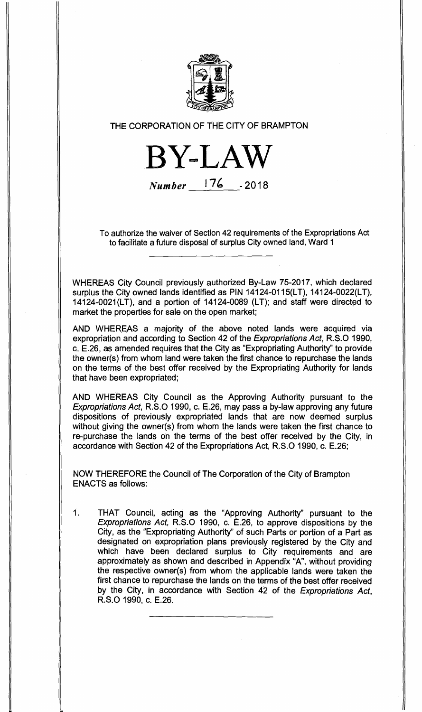

## THE CORPORATION OF THE CITY OF BRAMPTON

**BYLAW Number 176 -2018** 

To authorize the waiver of Section 42 requirements of the Expropriations Act to facilitate a future disposal of surplus City owned land, Ward 1

WHEREAS City Council previously authorized By-Law 75-2017, which declared surplus the City owned lands identified as PIN 14124-0115(LT), 14124-0022(LT), 14124-0021(LT), and a portion of 14124-0089 (LT); and staff were directed to market the properties for sale on the open market;

AND WHEREAS a majority of the above noted lands were acquired via expropriation and according to Section 42 of the Expropriations Act, R.S.O 1990, c. E.26, as amended requires that the City as "Expropriating Authority" to provide the owner(s) from whom land were taken the first chance to repurchase the lands on the terms of the best offer received by the Expropriating Authority for lands that have been expropriated;

AND WHEREAS City Council as the Approving Authority pursuant to the Expropriations Act, R.S.O 1990, c. E.26, may pass a by-law approving any future dispositions of previously expropriated lands that are now deemed surplus without giving the owner(s) from whom the lands were taken the first chance to re-purchase the lands on the terms of the best offer received by the City, in accordance with Section 42 of the Expropriations Act, R.S.O 1990, c. E.26;

NOW THEREFORE the Council of The Corporation of the City of Brampton ENACTS as follows:

1. THAT Council, acting as the "Approving Authority" pursuant to the Expropriations Act, R.S.O 1990, c. E.26, to approve dispositions by the City, as the "Expropriating Authority" of such Parts or portion of a Part as designated on expropriation plans previously registered by the City and which have been declared surplus to City requirements and are approximately as shown and described in Appendix "A", without providing the respective owner(s) from whom the applicable lands were taken the first chance to repurchase the lands on the terms of the best offer received by the City, in accordance with Section 42 of the Expropriations Act, R.S.O 1990, c. E.26.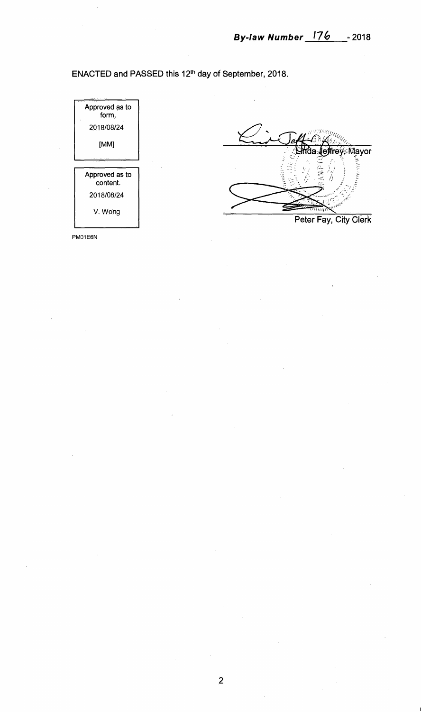**ENACTED and PASSED this 12th day of September, 2018.** 



PM01E6N